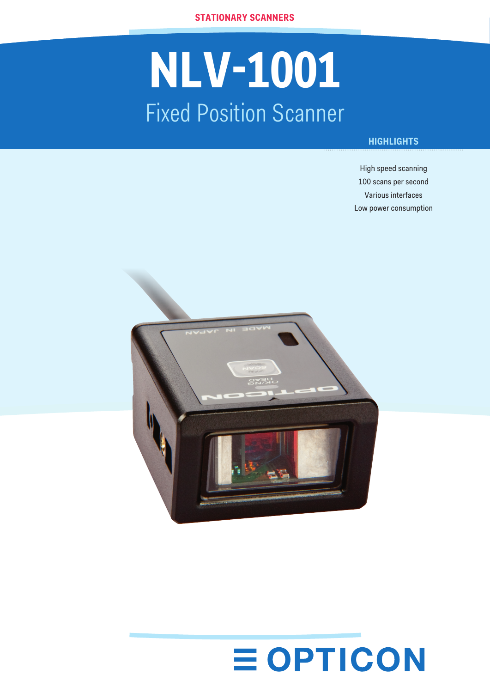**stationary scanners**

# **NLV-1001** Fixed Position Scanner

## **HIGHLIGHTS**

High speed scanning 100 scans per second Various interfaces Low power consumption